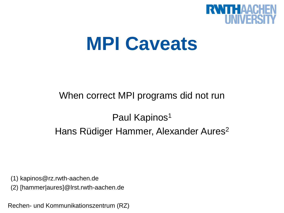

# **MPI Caveats**

# When correct MPI programs did not run

# Paul Kapinos<sup>1</sup> Hans Rüdiger Hammer, Alexander Aures<sup>2</sup>

(1) kapinos@rz.rwth-aachen.de

(2) [hammer|aures]@lrst.rwth-aachen.de

Rechen- und Kommunikationszentrum (RZ)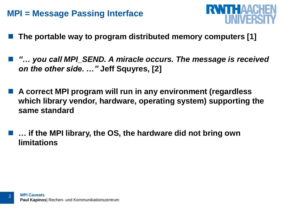### **MPI = Message Passing Interface**



- **The portable way to program distributed memory computers [1]**
- *"… you call MPI\_SEND. A miracle occurs. The message is received on the other side. …"* **Jeff Squyres, [2]**
- **A correct MPI program will run in any environment (regardless which library vendor, hardware, operating system) supporting the same standard**
	- **… if the MPI library, the OS, the hardware did not bring own limitations**

 $\mathcal{L}$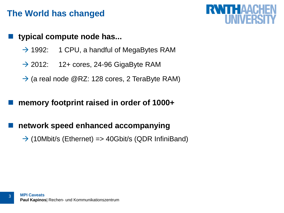# **The World has changed**

#### **typical compute node has...**

- $\rightarrow$  1992: 1 CPU, a handful of MegaBytes RAM
- $\rightarrow$  2012: 12+ cores, 24-96 GigaByte RAM
- $\rightarrow$  (a real node @RZ: 128 cores, 2 TeraByte RAM)

#### **memory footprint raised in order of 1000+**

#### **network speed enhanced accompanying**

 $\rightarrow$  (10Mbit/s (Ethernet) => 40Gbit/s (QDR InfiniBand)

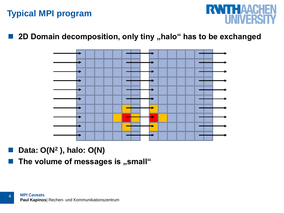# **Typical MPI program**



#### ■ 2D Domain decomposition, only tiny "halo" has to be exchanged



■ Data: O(N<sup>2</sup>), halo: O(N)

4

**The volume of messages is "small"**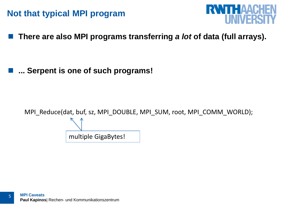## **Not that typical MPI program**



**There are also MPI programs transferring** *a lot* **of data (full arrays).**

**... Serpent is one of such programs!**

MPI\_Reduce(dat, buf, sz, MPI\_DOUBLE, MPI\_SUM, root, MPI\_COMM\_WORLD); multiple GigaBytes!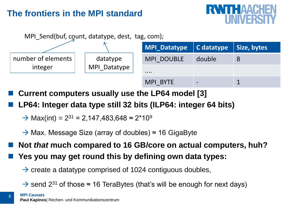# **The frontiers in the MPI standard**





- **Current computers usually use the LP64 model [3]**
- **LP64: Integer data type still 32 bits (ILP64: integer 64 bits)**
	- $\rightarrow$  Max(int) = 2<sup>31</sup> = 2,147,483,648 ≈ 2\*10<sup>9</sup>
	- $\rightarrow$  Max. Message Size (array of doubles)  $\approx$  16 GigaByte
- **Not** *that* **much compared to 16 GB/core on actual computers, huh?**
- **Yes you may get round this by defining own data types:** 
	- $\rightarrow$  create a datatype comprised of 1024 contiguous doubles,
	- $\rightarrow$  send 2<sup>31</sup> of those  $\approx$  16 TeraBytes (that's will be enough for next days)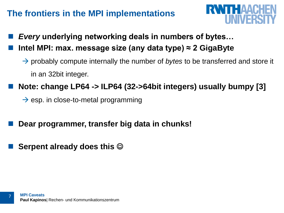# **The frontiers in the MPI implementations**

- *Every* **underlying networking deals in numbers of bytes… Intel MPI: max. message size (any data type) ≈ 2 GigaByte**
	- → probably compute internally the number of *bytes* to be transferred and store it in an 32bit integer.

**RWTHAAC** 

- **Note: change LP64 -> ILP64 (32->64bit integers) usually bumpy [3]** 
	- $\rightarrow$  esp. in close-to-metal programming
- **Dear programmer, transfer big data in chunks!**
- **Serpent already does this**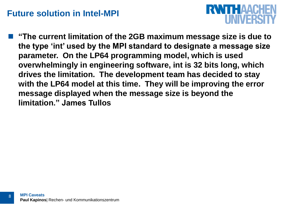## **Future solution in Intel-MPI**



 **"The current limitation of the 2GB maximum message size is due to the type 'int' used by the MPI standard to designate a message size parameter. On the LP64 programming model, which is used overwhelmingly in engineering software, int is 32 bits long, which drives the limitation. The development team has decided to stay with the LP64 model at this time. They will be improving the error message displayed when the message size is beyond the limitation." James Tullos**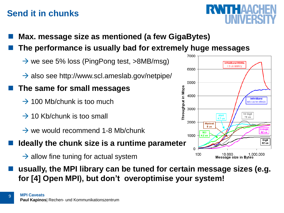# **Send it in chunks**

- **Max. message size as mentioned (a few GigaBytes)**
- **The performance is usually bad for extremely huge messages**
	- $\rightarrow$  we see 5% loss (PingPong test, >8MB/msg)
	- $\rightarrow$  also see http://www.scl.ameslab.gov/netpipe/

#### **The same for small messages**

- $\rightarrow$  100 Mb/chunk is too much
- $\rightarrow$  10 Kb/chunk is too small
- $\rightarrow$  we would recommend 1-8 Mb/chunk
- **Ideally the chunk size is a runtime parameter**
	- $\rightarrow$  allow fine tuning for actual system
- **usually, the MPI library can be tuned for certain message sizes (e.g. for [4] Open MPI), but don't overoptimise your system!**



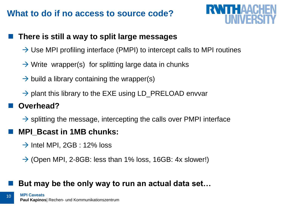# **What to do if no access to source code?**



#### **There is still a way to split large messages**

- $\rightarrow$  Use MPI profiling interface (PMPI) to intercept calls to MPI routines
- $\rightarrow$  Write wrapper(s) for splitting large data in chunks
- $\rightarrow$  build a library containing the wrapper(s)
- $\rightarrow$  plant this library to the EXE using LD\_PRELOAD envvar

#### **Overhead?**

10

 $\rightarrow$  splitting the message, intercepting the calls over PMPI interface

#### **MPI\_Bcast in 1MB chunks:**

- $\rightarrow$  Intel MPI, 2GB : 12% loss
- $\rightarrow$  (Open MPI, 2-8GB: less than 1% loss, 16GB: 4x slower!)

#### **But may be the only way to run an actual data set…**

**MPI Caveats Paul Kapinos**| Rechen- und Kommunikationszentrum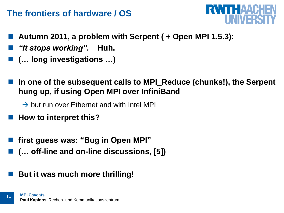# **The frontiers of hardware / OS**



- **Autumn 2011, a problem with Serpent ( + Open MPI 1.5.3):**
- *"It stops working".* **Huh.**
- **(… long investigations …)**
- **In one of the subsequent calls to MPI\_Reduce (chunks!), the Serpent hung up, if using Open MPI over InfiniBand**
	- $\rightarrow$  but run over Ethernet and with Intel MPI
- **How to interpret this?**
- **first guess was: "Bug in Open MPI"**
- **(… off-line and on-line discussions, [5])**
- **But it was much more thrilling!**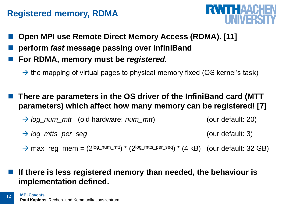# **Registered memory, RDMA**



- **Open MPI use Remote Direct Memory Access (RDMA). [11]**
- **perform** *fast* **message passing over InfiniBand**
- **For RDMA, memory must be** *registered.*
	- $\rightarrow$  the mapping of virtual pages to physical memory fixed (OS kernel's task)
- **There are parameters in the OS driver of the InfiniBand card (MTT parameters) which affect how many memory can be registered! [7]**
	- *log\_num\_mtt* (old hardware: *num\_mtt*) (our default: 20)
	- *log\_mtts\_per\_seg* (our default: 3)
	- $\rightarrow$  max\_reg\_mem =  $(2^{log\_num\_mtt})$   $*$   $(2^{log\_mtts\_per\_seq})$   $*$   $(4 \text{ kB})$   $(our default: 32 \text{ GB})$

 **If there is less registered memory than needed, the behaviour is implementation defined.**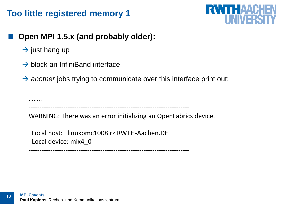# **Too little registered memory 1**



#### **Open MPI 1.5.x (and probably older):**

- $\rightarrow$  just hang up
- $\rightarrow$  block an InfiniBand interface
- $\rightarrow$  another jobs trying to communicate over this interface print out:

……… --------------------------------------------------------------------------

--------------------------------------------------------------------------

WARNING: There was an error initializing an OpenFabrics device.

 Local host: linuxbmc1008.rz.RWTH-Aachen.DE Local device: mlx4\_0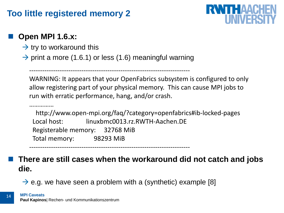# **Too little registered memory 2**

# **RWITH AACK** I INN/5RS

### **Open MPI 1.6.x:**

……………

- $\rightarrow$  try to workaround this
- $\rightarrow$  print a more (1.6.1) or less (1.6) meaningful warning

--------------------------------------------------------------------------

WARNING: It appears that your OpenFabrics subsystem is configured to only allow registering part of your physical memory. This can cause MPI jobs to run with erratic performance, hang, and/or crash.

 http://www.open-mpi.org/faq/?category=openfabrics#ib-locked-pages Local host: linuxbmc0013.rz.RWTH-Aachen.DE Registerable memory: 32768 MiB Total memory: 98293 MiB

--------------------------------------------------------------------------

#### **There are still cases when the workaround did not catch and jobs die.**

 $\rightarrow$  e.g. we have seen a problem with a (synthetic) example [8]

**Paul Kapinos**| Rechen- und Kommunikationszentrum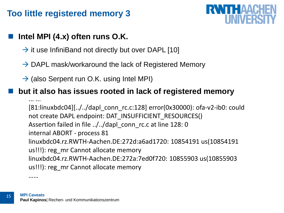# **Too little registered memory 3**

# **RWTHAACHE** I INIVERSE

### **Intel MPI (4.x) often runs O.K.**

- $\rightarrow$  it use InfiniBand not directly but over DAPL [10]
- $\rightarrow$  DAPL mask/workaround the lack of Registered Memory
- $\rightarrow$  (also Serpent run O.K. using Intel MPI)

#### **but it also has issues rooted in lack of registered memory**

... ... [81:linuxbdc04][../../dapl\_conn\_rc.c:128] error(0x30000): ofa-v2-ib0: could not create DAPL endpoint: DAT\_INSUFFICIENT\_RESOURCES() Assertion failed in file ../../dapl\_conn\_rc.c at line 128: 0 internal ABORT - process 81 linuxbdc04.rz.RWTH-Aachen.DE:272d:a6ad1720: 10854191 us(10854191 us!!!): reg\_mr Cannot allocate memory linuxbdc04.rz.RWTH-Aachen.DE:272a:7ed0f720: 10855903 us(10855903 us!!!): reg\_mr Cannot allocate memory

……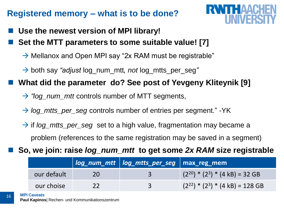# **Registered memory – what is to be done?**



- **Use the newest version of MPI library!**
- **Set the MTT parameters to some suitable value! [7]**
	- $\rightarrow$  Mellanox and Open MPI say "2x RAM must be registrable"
	- both say *"adjust* log\_num\_mtt*, not* log\_mtts\_per\_seg*"*

**What did the parameter do? See post of Yevgeny Kliteynik [9]**

- → *"log\_num\_mtt* controls number of MTT segments,
- *→ log\_mtts\_per\_seg* controls number of entries per segment." -YK
- → if *log\_mtts\_per\_seg* set to a high value, fragmentation may became a problem (references to the same registration may be saved in a segment)
- **So, we join: raise** *log\_num\_mtt* **to get some** *2x RAM* **size registrable**

|             | log_num_mtt   log_mtts_per_seg   max_reg_mem |                                                 |
|-------------|----------------------------------------------|-------------------------------------------------|
| our default |                                              | $(2^{20})$ * $(2^3)$ * $(4 \text{ kB})$ = 32 GB |
| our choise  | 3                                            | $(2^{22})$ * $(2^3)$ * $(4$ kB) = 128 GB        |

**MPI Caveats**

**Paul Kapinos**| Rechen- und Kommunikationszentrum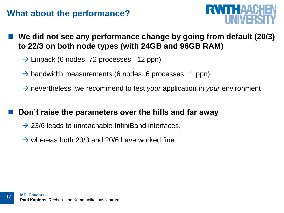# **What about the performance?**



- **We did not see any performance change by going from default (20/3) to 22/3 on both node types (with 24GB and 96GB RAM)**
	- $\rightarrow$  Linpack (6 nodes, 72 processes, 12 ppn)
	- $\rightarrow$  bandwidth measurements (6 nodes, 6 processes, 1 ppn)
	- → nevertheless, we recommend to test *your* application in *your* environment

#### **Don't raise the parameters over the hills and far away**

- $\rightarrow$  23/6 leads to unreachable InfiniBand interfaces,
- $\rightarrow$  whereas both 23/3 and 20/6 have worked fine.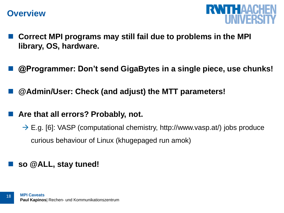#### **Overview**



- **Correct MPI programs may still fail due to problems in the MPI library, OS, hardware.**
- **@Programmer: Don't send GigaBytes in a single piece, use chunks!**
- **@Admin/User: Check (and adjust) the MTT parameters!**

#### **Are that all errors? Probably, not.**

 $\rightarrow$  E.g. [6]: VASP (computational chemistry, http://www.vasp.at/) jobs produce curious behaviour of Linux (khugepaged run amok)

#### **so @ALL, stay tuned!**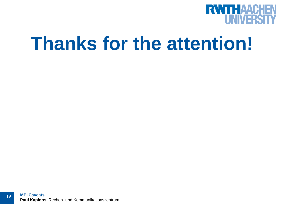

# **Thanks for the attention!**